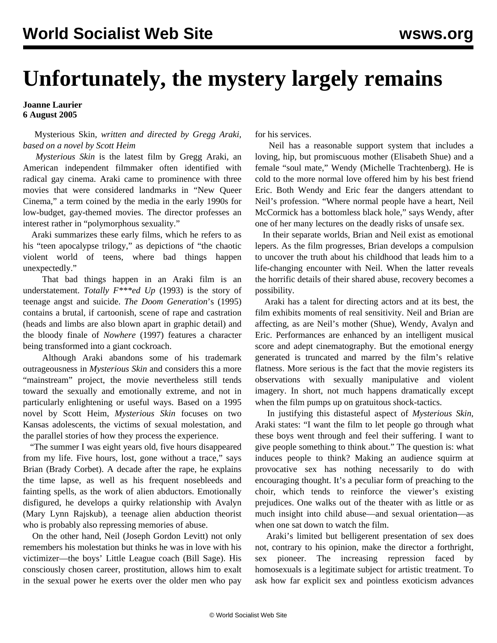## **Unfortunately, the mystery largely remains**

## **Joanne Laurier 6 August 2005**

 Mysterious Skin*, written and directed by Gregg Araki, based on a novel by Scott Heim*

 *Mysterious Skin* is the latest film by Gregg Araki, an American independent filmmaker often identified with radical gay cinema. Araki came to prominence with three movies that were considered landmarks in "New Queer Cinema," a term coined by the media in the early 1990s for low-budget, gay-themed movies. The director professes an interest rather in "polymorphous sexuality."

 Araki summarizes these early films, which he refers to as his "teen apocalypse trilogy," as depictions of "the chaotic violent world of teens, where bad things happen unexpectedly."

 That bad things happen in an Araki film is an understatement. *Totally F\*\*\*ed Up* (1993) is the story of teenage angst and suicide. *The Doom Generation*'s (1995) contains a brutal, if cartoonish, scene of rape and castration (heads and limbs are also blown apart in graphic detail) and the bloody finale of *Nowhere* (1997) features a character being transformed into a giant cockroach.

 Although Araki abandons some of his trademark outrageousness in *Mysterious Skin* and considers this a more "mainstream" project, the movie nevertheless still tends toward the sexually and emotionally extreme, and not in particularly enlightening or useful ways. Based on a 1995 novel by Scott Heim, *Mysterious Skin* focuses on two Kansas adolescents, the victims of sexual molestation, and the parallel stories of how they process the experience.

 "The summer I was eight years old, five hours disappeared from my life. Five hours, lost, gone without a trace," says Brian (Brady Corbet). A decade after the rape, he explains the time lapse, as well as his frequent nosebleeds and fainting spells, as the work of alien abductors. Emotionally disfigured, he develops a quirky relationship with Avalyn (Mary Lynn Rajskub), a teenage alien abduction theorist who is probably also repressing memories of abuse.

 On the other hand, Neil (Joseph Gordon Levitt) not only remembers his molestation but thinks he was in love with his victimizer—the boys' Little League coach (Bill Sage). His consciously chosen career, prostitution, allows him to exalt in the sexual power he exerts over the older men who pay for his services.

 Neil has a reasonable support system that includes a loving, hip, but promiscuous mother (Elisabeth Shue) and a female "soul mate," Wendy (Michelle Trachtenberg). He is cold to the more normal love offered him by his best friend Eric. Both Wendy and Eric fear the dangers attendant to Neil's profession. "Where normal people have a heart, Neil McCormick has a bottomless black hole," says Wendy, after one of her many lectures on the deadly risks of unsafe sex.

 In their separate worlds, Brian and Neil exist as emotional lepers. As the film progresses, Brian develops a compulsion to uncover the truth about his childhood that leads him to a life-changing encounter with Neil. When the latter reveals the horrific details of their shared abuse, recovery becomes a possibility.

 Araki has a talent for directing actors and at its best, the film exhibits moments of real sensitivity. Neil and Brian are affecting, as are Neil's mother (Shue), Wendy, Avalyn and Eric. Performances are enhanced by an intelligent musical score and adept cinematography. But the emotional energy generated is truncated and marred by the film's relative flatness. More serious is the fact that the movie registers its observations with sexually manipulative and violent imagery. In short, not much happens dramatically except when the film pumps up on gratuitous shock-tactics.

 In justifying this distasteful aspect of *Mysterious Skin*, Araki states: "I want the film to let people go through what these boys went through and feel their suffering. I want to give people something to think about." The question is: what induces people to think? Making an audience squirm at provocative sex has nothing necessarily to do with encouraging thought. It's a peculiar form of preaching to the choir, which tends to reinforce the viewer's existing prejudices. One walks out of the theater with as little or as much insight into child abuse—and sexual orientation—as when one sat down to watch the film.

 Araki's limited but belligerent presentation of sex does not, contrary to his opinion, make the director a forthright, sex pioneer. The increasing repression faced by homosexuals is a legitimate subject for artistic treatment. To ask how far explicit sex and pointless exoticism advances